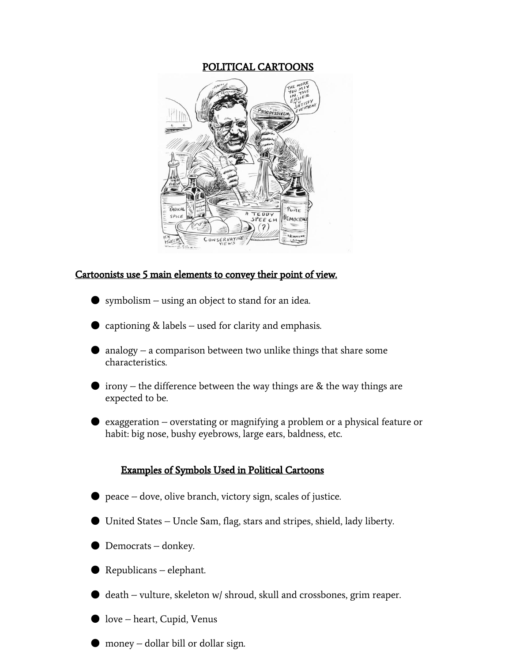## POLITICAL CARTOONS



# Cartoonists use 5 main elements to convey their point of view.

- symbolism using an object to stand for an idea.
- captioning  $&$  labels used for clarity and emphasis.
- analogy a comparison between two unlike things that share some characteristics.
- irony the difference between the way things are  $&$  the way things are expected to be.
- exaggeration overstating or magnifying a problem or a physical feature or habit: big nose, bushy eyebrows, large ears, baldness, etc.

## Examples of Symbols Used in Political Cartoons

- $\bullet$  peace dove, olive branch, victory sign, scales of justice.
- United States Uncle Sam, flag, stars and stripes, shield, lady liberty.
- Democrats donkey.
- Republicans elephant.
- death vulture, skeleton w/ shroud, skull and crossbones, grim reaper.
- love heart, Cupid, Venus
- money dollar bill or dollar sign.